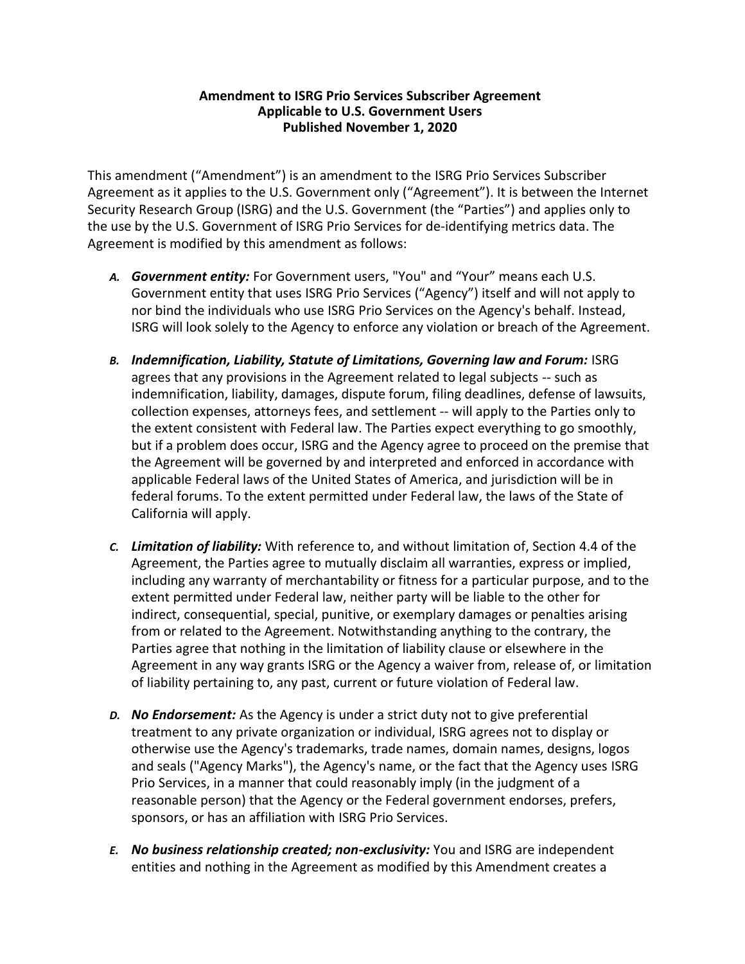## **Amendment to ISRG Prio Services Subscriber Agreement Applicable to U.S. Government Users Published November 1, 2020**

This amendment ("Amendment") is an amendment to the ISRG Prio Services Subscriber Agreement as it applies to the U.S. Government only ("Agreement"). It is between the Internet Security Research Group (ISRG) and the U.S. Government (the "Parties") and applies only to the use by the U.S. Government of ISRG Prio Services for de-identifying metrics data. The Agreement is modified by this amendment as follows:

- *A. Government entity:* For Government users, "You" and "Your" means each U.S. Government entity that uses ISRG Prio Services ("Agency") itself and will not apply to nor bind the individuals who use ISRG Prio Services on the Agency's behalf. Instead, ISRG will look solely to the Agency to enforce any violation or breach of the Agreement.
- *B. Indemnification, Liability, Statute of Limitations, Governing law and Forum:* ISRG agrees that any provisions in the Agreement related to legal subjects -- such as indemnification, liability, damages, dispute forum, filing deadlines, defense of lawsuits, collection expenses, attorneys fees, and settlement -- will apply to the Parties only to the extent consistent with Federal law. The Parties expect everything to go smoothly, but if a problem does occur, ISRG and the Agency agree to proceed on the premise that the Agreement will be governed by and interpreted and enforced in accordance with applicable Federal laws of the United States of America, and jurisdiction will be in federal forums. To the extent permitted under Federal law, the laws of the State of California will apply.
- *C. Limitation of liability:* With reference to, and without limitation of, Section 4.4 of the Agreement, the Parties agree to mutually disclaim all warranties, express or implied, including any warranty of merchantability or fitness for a particular purpose, and to the extent permitted under Federal law, neither party will be liable to the other for indirect, consequential, special, punitive, or exemplary damages or penalties arising from or related to the Agreement. Notwithstanding anything to the contrary, the Parties agree that nothing in the limitation of liability clause or elsewhere in the Agreement in any way grants ISRG or the Agency a waiver from, release of, or limitation of liability pertaining to, any past, current or future violation of Federal law.
- *D. No Endorsement:* As the Agency is under a strict duty not to give preferential treatment to any private organization or individual, ISRG agrees not to display or otherwise use the Agency's trademarks, trade names, domain names, designs, logos and seals ("Agency Marks"), the Agency's name, or the fact that the Agency uses ISRG Prio Services, in a manner that could reasonably imply (in the judgment of a reasonable person) that the Agency or the Federal government endorses, prefers, sponsors, or has an affiliation with ISRG Prio Services.
- *E. No business relationship created; non-exclusivity:* You and ISRG are independent entities and nothing in the Agreement as modified by this Amendment creates a